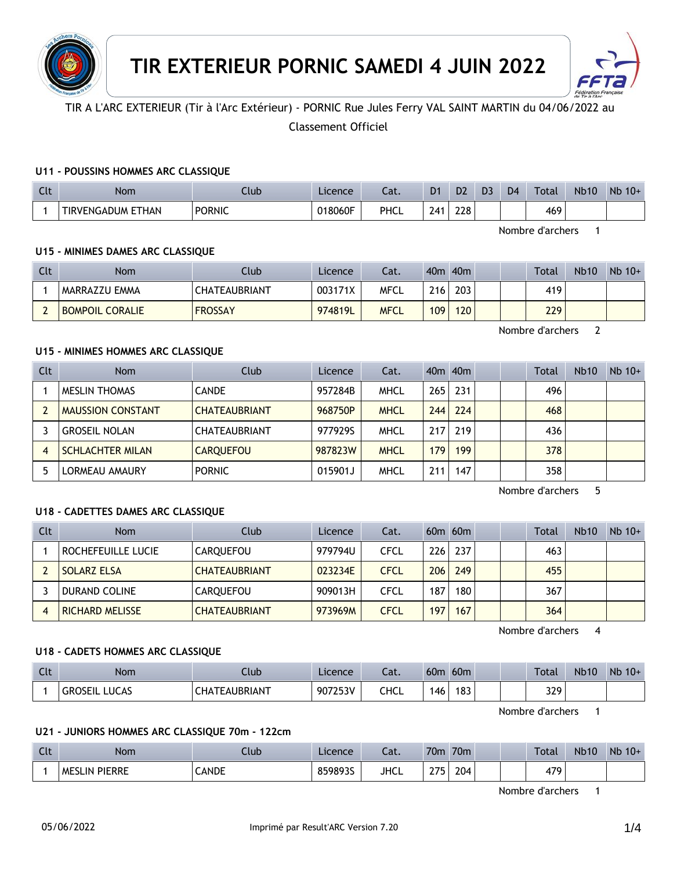



# TIR A L'ARC EXTERIEUR (Tir à l'Arc Extérieur) - PORNIC Rue Jules Ferry VAL SAINT MARTIN du 04/06/2022 au

Classement Officiel

### **U11 - POUSSINS HOMMES ARC CLASSIQUE**

| $\sim$<br>นเ | Nom               | Club          | Licence | $\sim$<br>cal. | D <sub>1</sub> | D2  | D3 | D <sub>4</sub> | Total | <b>Nb10</b> | Nb<br>$10+$ |
|--------------|-------------------|---------------|---------|----------------|----------------|-----|----|----------------|-------|-------------|-------------|
|              | TIRVENGADUM ETHAN | <b>PORNIC</b> | 018060F | PHCL           | 24             | 228 |    |                | 469   |             |             |

Nombre d'archers 1

### **U15 - MINIMES DAMES ARC CLASSIQUE**

| <b>Clt</b> | <b>Nom</b>             | Club                 | Licence | Cat.        | 40 <sub>m</sub>  | 40 <sub>m</sub> |  | Total | <b>Nb10</b> | $Nb 10+$ |
|------------|------------------------|----------------------|---------|-------------|------------------|-----------------|--|-------|-------------|----------|
|            | MARRAZZU EMMA          | <b>CHATEAUBRIANT</b> | 003171X | <b>MFCL</b> | 216 <sub>1</sub> | 203             |  | 419   |             |          |
| ∸          | <b>BOMPOIL CORALIE</b> | <b>FROSSAY</b>       | 974819L | <b>MFCL</b> | 109              | 120             |  | 229   |             |          |

Nombre d'archers 2

### **U15 - MINIMES HOMMES ARC CLASSIQUE**

| Clt | <b>Nom</b>               | Club                 | Licence | Cat.        |                  | $40m$ $40m$ |  | Total | <b>Nb10</b> | $Nb$ 10+ |
|-----|--------------------------|----------------------|---------|-------------|------------------|-------------|--|-------|-------------|----------|
|     | MESLIN THOMAS            | <b>CANDE</b>         | 957284B | <b>MHCL</b> | 265              | 231         |  | 496   |             |          |
|     | <b>MAUSSION CONSTANT</b> | <b>CHATEAUBRIANT</b> | 968750P | <b>MHCL</b> | 244              | 224         |  | 468   |             |          |
|     | <b>GROSEIL NOLAN</b>     | <b>CHATEAUBRIANT</b> | 9779295 | <b>MHCL</b> | 217              | 219         |  | 436   |             |          |
| 4   | <b>SCHLACHTER MILAN</b>  | <b>CARQUEFOU</b>     | 987823W | <b>MHCL</b> | 179 <sup>°</sup> | 199         |  | 378   |             |          |
|     | LORMEAU AMAURY           | <b>PORNIC</b>        | 015901J | <b>MHCL</b> | 211              | 147         |  | 358   |             |          |

Nombre d'archers 5

### **U18 - CADETTES DAMES ARC CLASSIQUE**

| Clt | <b>Nom</b>             | Club                 | Licence | Cat.        |     | $60m$ $60m$ |  | <b>Total</b> | <b>Nb10</b> | $Nb$ 10+ |
|-----|------------------------|----------------------|---------|-------------|-----|-------------|--|--------------|-------------|----------|
|     | ROCHEFEUILLE LUCIE     | CAROUEFOU            | 979794U | CFCL        | 226 | 237         |  | 463          |             |          |
|     | <b>SOLARZ ELSA</b>     | <b>CHATEAUBRIANT</b> | 023234E | <b>CFCL</b> | 206 | 249         |  | 455          |             |          |
|     | DURAND COLINE          | CAROUEFOU            | 909013H | CFCL        | 187 | 180         |  | 367          |             |          |
|     | <b>RICHARD MELISSE</b> | <b>CHATEAUBRIANT</b> | 973969M | <b>CFCL</b> | 197 | 167         |  | 364          |             |          |

Nombre d'archers 4

#### **U18 - CADETS HOMMES ARC CLASSIQUE**

| Clt | <b>Nom</b>                     | Llub                     | Licence | $\sim$<br>cal. | 60 <sub>m</sub> | 60 <sub>m</sub> |  | <b>Total</b> | <b>Nb10</b> | $Nb$ 10+ |
|-----|--------------------------------|--------------------------|---------|----------------|-----------------|-----------------|--|--------------|-------------|----------|
|     | <b>LUCAS</b><br><b>GROSEIL</b> | <b><i>FEAUBRIANT</i></b> | 907253V | CHCL           | 146             | 183             |  | 329          |             |          |

Nombre d'archers 1

#### **U21 - JUNIORS HOMMES ARC CLASSIQUE 70m - 122cm**

| $\sim$<br>ิเเ | <b>Nom</b>                    | lub         | Licence                | $\sim$<br>cal. | 70 <sub>m</sub> | 70 <sub>m</sub> |  | Total       | <b>Nb10</b> | <b>Nb</b><br>$10+$ |
|---------------|-------------------------------|-------------|------------------------|----------------|-----------------|-----------------|--|-------------|-------------|--------------------|
|               | <b>PIFRRF</b><br>ME:<br>51 IN | <b>ANDE</b> | <b>OENONC</b><br>98935 | <b>JHCL</b>    | つつに<br>- -      | 204             |  | 17Q<br>T/ / |             |                    |

Nombre d'archers 1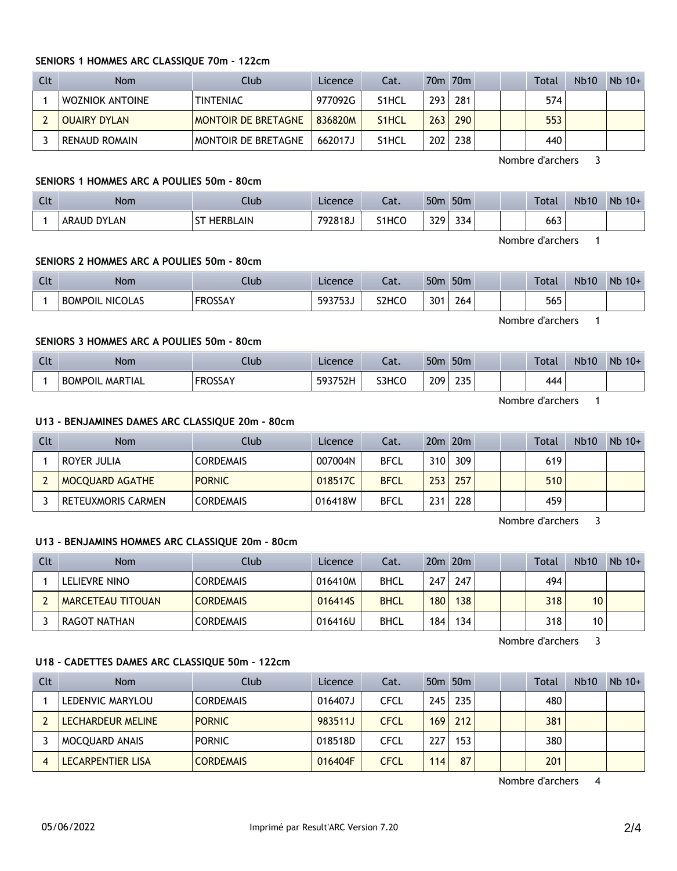#### **SENIORS 1 HOMMES ARC CLASSIQUE 70m - 122cm**

| Clt | <b>Nom</b>      | Club                       | Licence | Cat.               |     | 70m 70m |  | Total | <b>Nb10</b> | $Nb$ 10+ |
|-----|-----------------|----------------------------|---------|--------------------|-----|---------|--|-------|-------------|----------|
|     | WOZNIOK ANTOINE | <b>TINTENIAC</b>           | 977092G | S <sub>1</sub> HCL | 293 | 281     |  | 574   |             |          |
|     | OUAIRY DYLAN    | <b>MONTOIR DE BRETAGNE</b> | 836820M | S <sub>1</sub> HCL | 263 | 290     |  | 553   |             |          |
|     | RENAUD ROMAIN   | MONTOIR DE BRETAGNE        | 662017J | S1HCL              | 202 | 238     |  | 440   |             |          |

Nombre d'archers 3

### **SENIORS 1 HOMMES ARC A POULIES 50m - 80cm**

| Clt | Nom                          | Llub | Licence | $-1$<br>cal.       | 50 <sub>m</sub>  | 50 <sub>m</sub>      |  | Total      | <b>Nb10</b> | Nb<br>$10+$ |
|-----|------------------------------|------|---------|--------------------|------------------|----------------------|--|------------|-------------|-------------|
|     | <b>DYLAN</b><br><b>ARAUD</b> | LAIN | 792818. | S <sub>1</sub> HCO | <b>CCC</b><br>ັ້ | $\sim$ $\sim$<br>334 |  | 113<br>663 |             |             |

Nombre d'archers 1

### **SENIORS 2 HOMMES ARC A POULIES 50m - 80cm**

| Clt | <b>Nom</b>             | Club           | Licence | ົາ <del>1</del><br>٥dι.        | 50 <sub>m</sub> | 50 <sub>m</sub> |  | Total | <b>Nb10</b> | Nb<br>$10+$ |
|-----|------------------------|----------------|---------|--------------------------------|-----------------|-----------------|--|-------|-------------|-------------|
|     | <b>BOMPOIL NICOLAS</b> | <b>FROSSAY</b> | 593753J | S <sub>2</sub> HC <sub>O</sub> | 301             | 264             |  | 565   |             |             |

Nombre d'archers 1

# **SENIORS 3 HOMMES ARC A POULIES 50m - 80cm**

| $C1+$<br>$\overline{\phantom{a}}$ | <b>Nom</b>             | Llub                      | Licence | $\sim$<br>cal. | 50 <sub>m</sub> | 50 <sub>m</sub> |  | Total | <b>Nb10</b> | <b>Nb</b><br>$10+$ |
|-----------------------------------|------------------------|---------------------------|---------|----------------|-----------------|-----------------|--|-------|-------------|--------------------|
|                                   | <b>BOMPOIL MARTIAL</b> | <b>EDOCCAV</b><br>ו אככטח | 593752H | S3HCC          | 209             | つつに<br>LJ J     |  | 444   |             |                    |

Nombre d'archers 1

### **U13 - BENJAMINES DAMES ARC CLASSIQUE 20m - 80cm**

| Clt | Nom                       | Club             | Licence | Cat.        |     | $20m$ $20m$ |  | Total | <b>Nb10</b> | $Nb$ 10+ |
|-----|---------------------------|------------------|---------|-------------|-----|-------------|--|-------|-------------|----------|
|     | ROYER JULIA               | <b>CORDEMAIS</b> | 007004N | <b>BFCL</b> | 310 | 309         |  | 619   |             |          |
|     | <b>MOCQUARD AGATHE</b>    | <b>PORNIC</b>    | 018517C | <b>BFCL</b> | 253 | 257         |  | 510   |             |          |
|     | <b>RETEUXMORIS CARMEN</b> | <b>CORDEMAIS</b> | 016418W | <b>BFCL</b> | 231 | 228         |  | 459   |             |          |

Nombre d'archers 3

#### **U13 - BENJAMINS HOMMES ARC CLASSIQUE 20m - 80cm**

| Clt | <b>Nom</b>               | Club             | Licence | Cat.        |     | 20 <sub>m</sub> 20 <sub>m</sub> |  | <b>Total</b> | <b>Nb10</b>     | $Nb$ 10+ |
|-----|--------------------------|------------------|---------|-------------|-----|---------------------------------|--|--------------|-----------------|----------|
|     | LELIEVRE NINO            | <b>CORDEMAIS</b> | 016410M | <b>BHCL</b> | 247 | 247                             |  | 494          |                 |          |
|     | <b>MARCETEAU TITOUAN</b> | <b>CORDEMAIS</b> | 0164145 | <b>BHCL</b> | 180 | 138                             |  | 318          | 10 <sup>°</sup> |          |
|     | RAGOT NATHAN             | <b>CORDEMAIS</b> | 016416U | <b>BHCL</b> | 184 | 134                             |  | 318          | 10              |          |

Nombre d'archers 3

#### **U18 - CADETTES DAMES ARC CLASSIQUE 50m - 122cm**

| Clt | <b>Nom</b>            | Club             | Licence | Cat.        |     | 50 <sub>m</sub> 50 <sub>m</sub> |  | Total | <b>Nb10</b> | $Nb$ 10+ |
|-----|-----------------------|------------------|---------|-------------|-----|---------------------------------|--|-------|-------------|----------|
|     | LEDENVIC MARYLOU      | <b>CORDEMAIS</b> | 016407J | <b>CFCL</b> | 245 | 235                             |  | 480   |             |          |
|     | LECHARDEUR MELINE     | <b>PORNIC</b>    | 983511J | <b>CFCL</b> | 169 | 212                             |  | 381   |             |          |
|     | <b>MOCOUARD ANAIS</b> | <b>PORNIC</b>    | 018518D | <b>CFCL</b> | 227 | 153                             |  | 380   |             |          |
|     | LECARPENTIER LISA     | <b>CORDEMAIS</b> | 016404F | <b>CFCL</b> | 114 | 87                              |  | 201   |             |          |

Nombre d'archers 4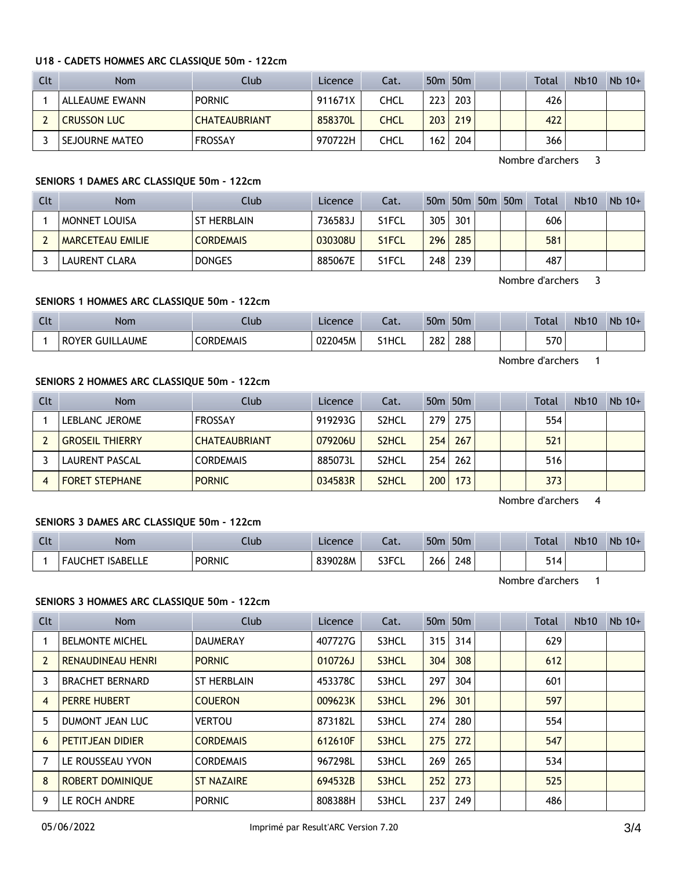#### **U18 - CADETS HOMMES ARC CLASSIQUE 50m - 122cm**

| Clt | <b>Nom</b>         | Club                 | Licence | Cat. |     | 50 <sub>m</sub> 50 <sub>m</sub> |  | Total | <b>Nb10</b> | $Nb$ 10+ |
|-----|--------------------|----------------------|---------|------|-----|---------------------------------|--|-------|-------------|----------|
|     | ALLEAUME EWANN     | <b>PORNIC</b>        | 911671X | CHCL | 223 | 203                             |  | 426   |             |          |
|     | <b>CRUSSON LUC</b> | <b>CHATEAUBRIANT</b> | 858370L | CHCL | 203 | 219                             |  | 422   |             |          |
|     | I SEJOURNE MATEO   | <b>FROSSAY</b>       | 970722H | CHCL | 162 | 204                             |  | 366   |             |          |

Nombre d'archers 3

### **SENIORS 1 DAMES ARC CLASSIQUE 50m - 122cm**

| Clt | <b>Nom</b>              | Club               | Licence | Cat.               |     |     | 50m 50m 50m 50m | Total | Nb <sub>10</sub> | $Nb$ 10+ |
|-----|-------------------------|--------------------|---------|--------------------|-----|-----|-----------------|-------|------------------|----------|
|     | <b>MONNET LOUISA</b>    | <b>ST HERBLAIN</b> | 736583J | S <sub>1</sub> FCL | 305 | 301 |                 | 606   |                  |          |
|     | <b>MARCETEAU EMILIE</b> | <b>CORDEMAIS</b>   | 030308U | S <sub>1</sub> FCL | 296 | 285 |                 | 581   |                  |          |
|     | LAURENT CLARA           | <b>DONGES</b>      | 885067E | S1FCL              | 248 | 239 |                 | 487   |                  |          |

Nombre d'archers 3

### **SENIORS 1 HOMMES ARC CLASSIQUE 50m - 122cm**

| Clt | <b>Nom</b>                           | Club      | Licence | $\sim$<br>Cal. | 50 <sub>m</sub> | 50 <sub>m</sub> |  | Total | <b>Nb10</b> | <b>Nb</b><br>$10+$ |
|-----|--------------------------------------|-----------|---------|----------------|-----------------|-----------------|--|-------|-------------|--------------------|
|     | <b>_AUME</b><br><b>ROYER</b><br>GHII | CORDEMAIS | 022045M | S1HCL          | 282             | 288             |  | 570   |             |                    |

Nombre d'archers 1

#### **SENIORS 2 HOMMES ARC CLASSIQUE 50m - 122cm**

| Clt | <b>Nom</b>             | Club                 | Licence | Cat.               |     | 50 <sub>m</sub> 50 <sub>m</sub> |  | Total | <b>Nb10</b> | $Nb$ 10+ |
|-----|------------------------|----------------------|---------|--------------------|-----|---------------------------------|--|-------|-------------|----------|
|     | LEBLANC JEROME         | <b>FROSSAY</b>       | 919293G | S <sub>2</sub> HCL | 279 | 275                             |  | 554   |             |          |
|     | <b>GROSEIL THIERRY</b> | <b>CHATEAUBRIANT</b> | 079206U | S <sub>2</sub> HCL | 254 | 267                             |  | 521   |             |          |
|     | LAURENT PASCAL         | <b>CORDEMAIS</b>     | 885073L | S <sub>2</sub> HCL | 254 | 262                             |  | 516   |             |          |
|     | <b>FORET STEPHANE</b>  | <b>PORNIC</b>        | 034583R | S <sub>2</sub> HCL | 200 | 173                             |  | 373   |             |          |

Nombre d'archers 4

### **SENIORS 3 DAMES ARC CLASSIQUE 50m - 122cm**

| <b>Clt</b> | Nom                            | Ilub          | Licence | ۰.,<br>cal. | 50n | 50 <sub>m</sub> |  | Total | <b>Nb10</b> | Nb<br>$10+$ |
|------------|--------------------------------|---------------|---------|-------------|-----|-----------------|--|-------|-------------|-------------|
|            | <b>ISABELLE</b><br>.HE<br>-AU( | <b>PORNIC</b> | 839028M | S3FCL       | 266 | 248             |  | 514   |             |             |

Nombre d'archers 1

### **SENIORS 3 HOMMES ARC CLASSIQUE 50m - 122cm**

| Clt            | <b>Nom</b>               | Club               | Licence | Cat.  |     | 50 <sub>m</sub> 50 <sub>m</sub> |  | Total | Nb10 | $Nb$ 10+ |
|----------------|--------------------------|--------------------|---------|-------|-----|---------------------------------|--|-------|------|----------|
|                | <b>BELMONTE MICHEL</b>   | <b>DAUMERAY</b>    | 407727G | S3HCL | 315 | 314                             |  | 629   |      |          |
| $\overline{2}$ | <b>RENAUDINEAU HENRI</b> | <b>PORNIC</b>      | 010726J | S3HCL | 304 | 308                             |  | 612   |      |          |
| 3              | <b>BRACHET BERNARD</b>   | <b>ST HERBLAIN</b> | 453378C | S3HCL | 297 | 304                             |  | 601   |      |          |
| $\overline{4}$ | <b>PERRE HUBERT</b>      | <b>COUERON</b>     | 009623K | S3HCL | 296 | 301                             |  | 597   |      |          |
| 5              | DUMONT JEAN LUC          | <b>VERTOU</b>      | 873182L | S3HCL | 274 | 280                             |  | 554   |      |          |
| 6              | <b>PETITJEAN DIDIER</b>  | <b>CORDEMAIS</b>   | 612610F | S3HCL | 275 | 272                             |  | 547   |      |          |
| 7              | LE ROUSSEAU YVON         | <b>CORDEMAIS</b>   | 967298L | S3HCL | 269 | 265                             |  | 534   |      |          |
| 8              | <b>ROBERT DOMINIOUE</b>  | <b>ST NAZAIRE</b>  | 694532B | S3HCL | 252 | 273                             |  | 525   |      |          |
| 9              | LE ROCH ANDRE            | <b>PORNIC</b>      | 808388H | S3HCL | 237 | 249                             |  | 486   |      |          |